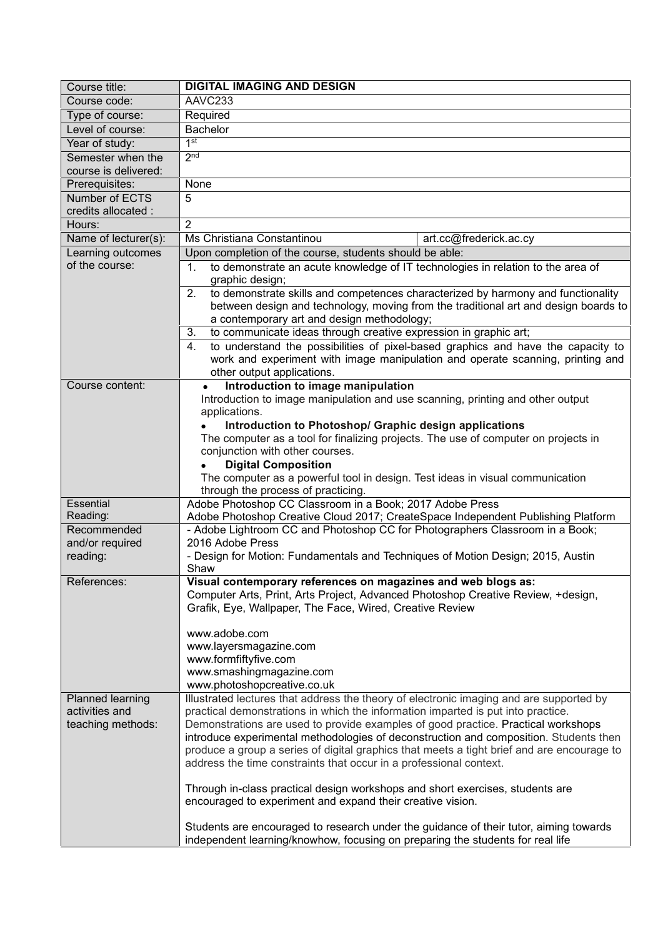| Course title:                                                                                                                                                    | <b>DIGITAL IMAGING AND DESIGN</b>                                                                                                                                                                                           |  |  |
|------------------------------------------------------------------------------------------------------------------------------------------------------------------|-----------------------------------------------------------------------------------------------------------------------------------------------------------------------------------------------------------------------------|--|--|
| Course code:                                                                                                                                                     | AAVC233                                                                                                                                                                                                                     |  |  |
| Type of course:                                                                                                                                                  | Required                                                                                                                                                                                                                    |  |  |
| Level of course:                                                                                                                                                 | <b>Bachelor</b>                                                                                                                                                                                                             |  |  |
| Year of study:                                                                                                                                                   | 1 <sup>st</sup>                                                                                                                                                                                                             |  |  |
| Semester when the                                                                                                                                                | 2 <sub>nd</sub>                                                                                                                                                                                                             |  |  |
| course is delivered:                                                                                                                                             |                                                                                                                                                                                                                             |  |  |
| Prerequisites:                                                                                                                                                   | None                                                                                                                                                                                                                        |  |  |
| Number of ECTS                                                                                                                                                   | 5                                                                                                                                                                                                                           |  |  |
| credits allocated :                                                                                                                                              | $\overline{2}$                                                                                                                                                                                                              |  |  |
| Hours:                                                                                                                                                           | Ms Christiana Constantinou                                                                                                                                                                                                  |  |  |
| Name of lecturer(s):                                                                                                                                             | art.cc@frederick.ac.cy                                                                                                                                                                                                      |  |  |
| Learning outcomes<br>of the course:                                                                                                                              | Upon completion of the course, students should be able:<br>to demonstrate an acute knowledge of IT technologies in relation to the area of<br>1 <sub>1</sub>                                                                |  |  |
|                                                                                                                                                                  | graphic design;                                                                                                                                                                                                             |  |  |
|                                                                                                                                                                  | to demonstrate skills and competences characterized by harmony and functionality<br>2.<br>between design and technology, moving from the traditional art and design boards to<br>a contemporary art and design methodology; |  |  |
|                                                                                                                                                                  |                                                                                                                                                                                                                             |  |  |
|                                                                                                                                                                  |                                                                                                                                                                                                                             |  |  |
| to communicate ideas through creative expression in graphic art;<br>3.<br>to understand the possibilities of pixel-based graphics and have the capacity to<br>4. |                                                                                                                                                                                                                             |  |  |
|                                                                                                                                                                  |                                                                                                                                                                                                                             |  |  |
|                                                                                                                                                                  | other output applications.                                                                                                                                                                                                  |  |  |
| Course content:                                                                                                                                                  | Introduction to image manipulation<br>Introduction to image manipulation and use scanning, printing and other output<br>applications.<br>Introduction to Photoshop/ Graphic design applications                             |  |  |
|                                                                                                                                                                  |                                                                                                                                                                                                                             |  |  |
|                                                                                                                                                                  |                                                                                                                                                                                                                             |  |  |
|                                                                                                                                                                  | The computer as a tool for finalizing projects. The use of computer on projects in                                                                                                                                          |  |  |
|                                                                                                                                                                  | conjunction with other courses.                                                                                                                                                                                             |  |  |
|                                                                                                                                                                  | <b>Digital Composition</b>                                                                                                                                                                                                  |  |  |
|                                                                                                                                                                  | The computer as a powerful tool in design. Test ideas in visual communication                                                                                                                                               |  |  |
|                                                                                                                                                                  | through the process of practicing.                                                                                                                                                                                          |  |  |
| Essential                                                                                                                                                        | Adobe Photoshop CC Classroom in a Book; 2017 Adobe Press                                                                                                                                                                    |  |  |
| Reading:                                                                                                                                                         | Adobe Photoshop Creative Cloud 2017; CreateSpace Independent Publishing Platform                                                                                                                                            |  |  |
| Recommended                                                                                                                                                      | - Adobe Lightroom CC and Photoshop CC for Photographers Classroom in a Book;<br>2016 Adobe Press                                                                                                                            |  |  |
| and/or required<br>reading:                                                                                                                                      | - Design for Motion: Fundamentals and Techniques of Motion Design; 2015, Austin                                                                                                                                             |  |  |
|                                                                                                                                                                  | Shaw                                                                                                                                                                                                                        |  |  |
| References:                                                                                                                                                      | Visual contemporary references on magazines and web blogs as:                                                                                                                                                               |  |  |
|                                                                                                                                                                  | Computer Arts, Print, Arts Project, Advanced Photoshop Creative Review, +design,                                                                                                                                            |  |  |
|                                                                                                                                                                  | Grafik, Eye, Wallpaper, The Face, Wired, Creative Review                                                                                                                                                                    |  |  |
|                                                                                                                                                                  |                                                                                                                                                                                                                             |  |  |
|                                                                                                                                                                  | www.adobe.com<br>www.layersmagazine.com<br>www.formfiftyfive.com<br>www.smashingmagazine.com                                                                                                                                |  |  |
|                                                                                                                                                                  |                                                                                                                                                                                                                             |  |  |
|                                                                                                                                                                  |                                                                                                                                                                                                                             |  |  |
|                                                                                                                                                                  | www.photoshopcreative.co.uk                                                                                                                                                                                                 |  |  |
| Planned learning                                                                                                                                                 | Illustrated lectures that address the theory of electronic imaging and are supported by                                                                                                                                     |  |  |
| activities and                                                                                                                                                   | practical demonstrations in which the information imparted is put into practice.                                                                                                                                            |  |  |
| teaching methods:                                                                                                                                                | Demonstrations are used to provide examples of good practice. Practical workshops                                                                                                                                           |  |  |
|                                                                                                                                                                  | introduce experimental methodologies of deconstruction and composition. Students then                                                                                                                                       |  |  |
|                                                                                                                                                                  | produce a group a series of digital graphics that meets a tight brief and are encourage to                                                                                                                                  |  |  |
|                                                                                                                                                                  | address the time constraints that occur in a professional context.                                                                                                                                                          |  |  |
|                                                                                                                                                                  | Through in-class practical design workshops and short exercises, students are                                                                                                                                               |  |  |
|                                                                                                                                                                  | encouraged to experiment and expand their creative vision.                                                                                                                                                                  |  |  |
|                                                                                                                                                                  |                                                                                                                                                                                                                             |  |  |
|                                                                                                                                                                  | Students are encouraged to research under the guidance of their tutor, aiming towards                                                                                                                                       |  |  |
|                                                                                                                                                                  | independent learning/knowhow, focusing on preparing the students for real life                                                                                                                                              |  |  |